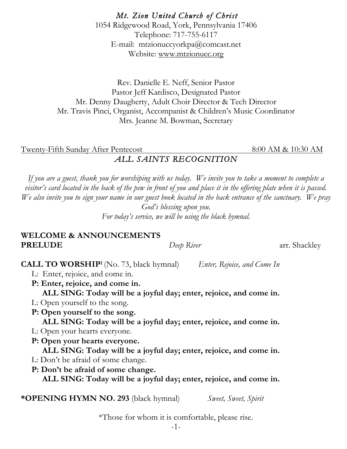*Mt. Zion United Church of Christ*  1054 Ridgewood Road, York, Pennsylvania 17406 Telephone: 717-755-6117 E-mail: mtzionuccyorkpa@comcast.net Website: www.mtzionucc.org

Rev. Danielle E. Neff, Senior Pastor Pastor Jeff Kardisco, Designated Pastor Mr. Denny Daugherty, Adult Choir Director & Tech Director Mr. Travis Pinci, Organist, Accompanist & Children's Music Coordinator Mrs. Jeanne M. Bowman, Secretary

Twenty-Fifth Sunday After Pentecost 8:00 AM & 10:30 AM *ALL SAINTS RECOGNITION* 

*If you are a guest, thank you for worshiping with us today. We invite you to take a moment to complete a visitor's card located in the back of the pew in front of you and place it in the offering plate when it is passed. We also invite you to sign your name in our guest book located in the back entrance of the sanctuary. We pray God's blessing upon you. For today's service, we will be using the black hymnal.*

#### **WELCOME & ANNOUNCEMENTS PRELUDE** *Deep River* arr. Shackley

## **CALL TO WORSHIP1** (No. 73, black hymnal) *Enter, Rejoice, and Come In*

- L: Enter, rejoice, and come in.
- **P: Enter, rejoice, and come in. ALL SING: Today will be a joyful day; enter, rejoice, and come in.**
- L: Open yourself to the song.
- **P: Open yourself to the song. ALL SING: Today will be a joyful day; enter, rejoice, and come in.**
- L: Open your hearts everyone.
- **P: Open your hearts everyone. ALL SING: Today will be a joyful day; enter, rejoice, and come in.**
- L: Don't be afraid of some change.
- **P: Don't be afraid of some change. ALL SING: Today will be a joyful day; enter, rejoice, and come in.**

**\*OPENING HYMN NO. 293** (black hymnal)*Sweet, Sweet, Spirit*

\*Those for whom it is comfortable, please rise.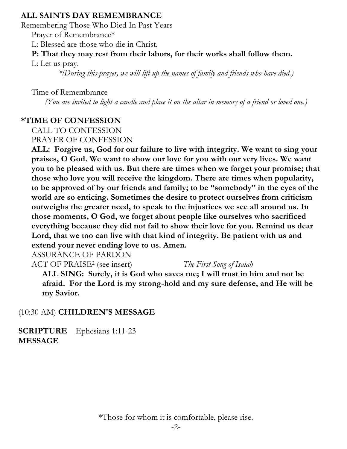### **ALL SAINTS DAY REMEMBRANCE**

Remembering Those Who Died In Past Years

Prayer of Remembrance\*

L: Blessed are those who die in Christ,

# **P: That they may rest from their labors, for their works shall follow them.**

L: Let us pray.

*\*(During this prayer, we will lift up the names of family and friends who have died.)*

Time of Remembrance

*(You are invited to light a candle and place it on the altar in memory of a friend or loved one.)*

# **\*TIME OF CONFESSION**

CALL TO CONFESSION PRAYER OF CONFESSION

 **ALL: Forgive us, God for our failure to live with integrity. We want to sing your praises, O God. We want to show our love for you with our very lives. We want you to be pleased with us. But there are times when we forget your promise; that those who love you will receive the kingdom. There are times when popularity, to be approved of by our friends and family; to be "somebody" in the eyes of the world are so enticing. Sometimes the desire to protect ourselves from criticism outweighs the greater need, to speak to the injustices we see all around us. In those moments, O God, we forget about people like ourselves who sacrificed everything because they did not fail to show their love for you. Remind us dear Lord, that we too can live with that kind of integrity. Be patient with us and extend your never ending love to us. Amen.**

ASSURANCE OF PARDON

ACT OF PRAISE2 (see insert) *The First Song of Isaiah*

 **ALL SING: Surely, it is God who saves me; I will trust in him and not be afraid. For the Lord is my strong-hold and my sure defense, and He will be my Savior.**

(10:30 AM) **CHILDREN'S MESSAGE**

**SCRIPTURE** Ephesians 1:11-23 **MESSAGE** 

\*Those for whom it is comfortable, please rise.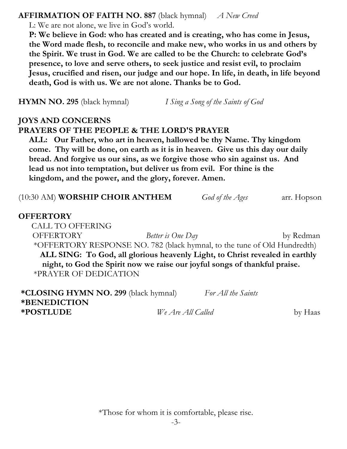#### **AFFIRMATION OF FAITH NO. 887** (black hymnal) *A New Creed*

L: We are not alone, we live in God's world.

 **P: We believe in God: who has created and is creating, who has come in Jesus, the Word made flesh, to reconcile and make new, who works in us and others by the Spirit. We trust in God. We are called to be the Church: to celebrate God's presence, to love and serve others, to seek justice and resist evil, to proclaim Jesus, crucified and risen, our judge and our hope. In life, in death, in life beyond death, God is with us. We are not alone. Thanks be to God.**

**HYMN NO. 295** (black hymnal) *I Sing a Song of the Saints of God*

### **JOYS AND CONCERNS PRAYERS OF THE PEOPLE & THE LORD'S PRAYER**

 **ALL: Our Father, who art in heaven, hallowed be thy Name. Thy kingdom come. Thy will be done, on earth as it is in heaven. Give us this day our daily bread. And forgive us our sins, as we forgive those who sin against us. And lead us not into temptation, but deliver us from evil. For thine is the kingdom, and the power, and the glory, forever. Amen.**

(10:30 AM) **WORSHIP CHOIR ANTHEM** *God of the Ages* arr. Hopson

### **OFFERTORY**

 CALL TO OFFERING OFFERTORY *Better is One Day* by Redman \*OFFERTORY RESPONSE NO. 782 (black hymnal, to the tune of Old Hundredth) **ALL SING: To God, all glorious heavenly Light, to Christ revealed in earthly night, to God the Spirit now we raise our joyful songs of thankful praise.**  \*PRAYER OF DEDICATION

**\*CLOSING HYMN NO. 299** (black hymnal) *For All the Saints* **\*BENEDICTION \*POSTLUDE** *We Are All Called* by Haas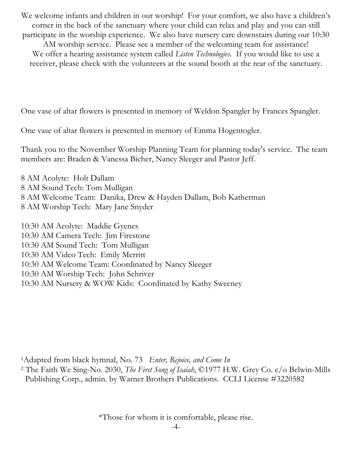We welcome infants and children in our worship! For your comfort, we also have a children's corner in the back of the sanctuary where your child can relax and play and you can still participate in the worship experience. We also have nursery care downstairs during our 10:30 AM worship service. Please see a member of the welcoming team for assistance! We offer a hearing assistance system called *Listen Technologies*. If you would like to use a receiver, please check with the volunteers at the sound booth at the rear of the sanctuary.

One vase of altar flowers is presented in memory of Weldon Spangler by Frances Spangler.

One vase of altar flowers is presented in memory of Emma Hogentogler.

Thank you to the November Worship Planning Team for planning today's service. The team members are: Braden & Vanessa Bicher, Nancy Sleeger and Pastor Jeff.

8 AM Acolyte: Holt Dallam 8 AM Sound Tech: Tom Mulligan 8 AM Welcome Team: Danika, Drew & Hayden Dallam, Bob Katherman 8 AM Worship Tech: Mary Jane Snyder

10:30 AM Acolyte: Maddie Gyenes 10:30 AM Camera Tech: Jim Firestone 10:30 AM Sound Tech: Tom Mulligan 10:30 AM Video Tech: Emily Merritt 10:30 AM Welcome Team: Coordinated by Nancy Sleeger 10:30 AM Worship Tech: John Schriver 10:30 AM Nursery & WOW Kids: Coordinated by Kathy Sweeney

1Adapted from black hymnal, No. 73 *Enter, Rejoice, and Come In*

<sup>2</sup> The Faith We Sing-No. 2030, *The First Song of Isaiah*, ©1977 H.W. Grey Co. c/o Belwin-Mills Publishing Corp., admin. by Warner Brothers Publications. CCLI License #3220582

\*Those for whom it is comfortable, please rise.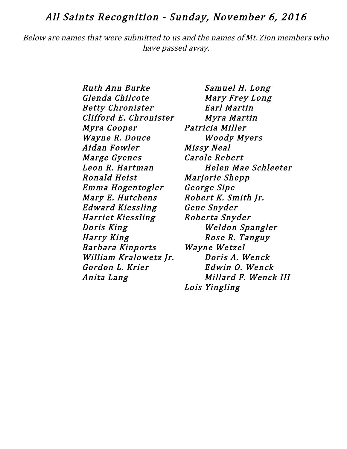### All Saints Recognition - Sunday, November 6, 2016

Below are names that were submitted to us and the names of Mt. Zion members who have passed away.

> Ruth Ann Burke Samuel H. Long Glenda Chilcote Mary Frey Long Betty Chronister Earl Martin Clifford E. Chronister Myra Martin Myra Cooper Patricia Miller Wayne R. Douce Woody Myers Aidan Fowler Missy Neal Marge Gyenes Carole Rebert Ronald Heist Marjorie Shepp Emma Hogentogler George Sipe Mary E. Hutchens Robert K. Smith Jr. Edward Kiessling Gene Snyder Harriet Kiessling Roberta Snyder Doris King Weldon Spangler Harry King **Rose R. Tanguy**  Barbara Kinports Wayne Wetzel William Kralowetz Jr. Doris A. Wenck Gordon L. Krier Fdwin O. Wenck

 Leon R. Hartman Helen Mae Schleeter Anita Lang Millard F. Wenck III Lois Yingling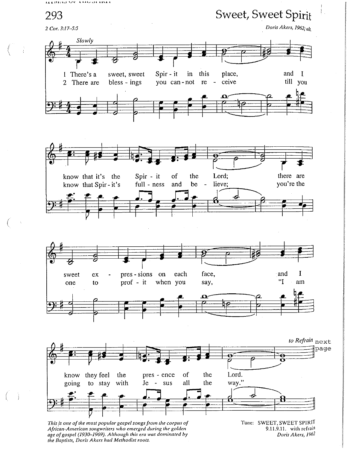EX EIFEIND SZR. A KEM DA KINKA



African-American songwriters who emerged during the golden<br>age of gospel (1930–1969). Although this era was dominated by the Baptists, Doris Akers had Methodist roots.

 $\frac{1}{2}$ 

9.11.9.11. with refrain Doris Akers, 1962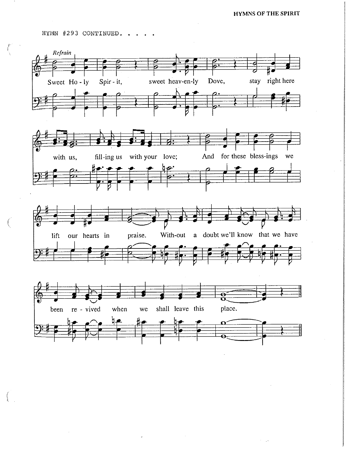HYMN #293 CONTINUED. .

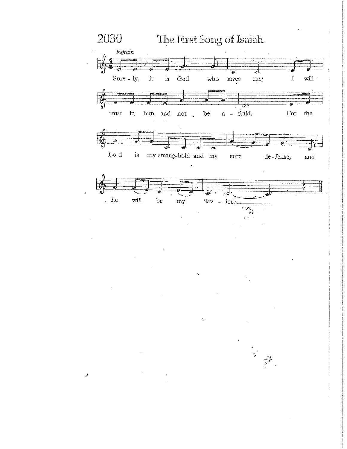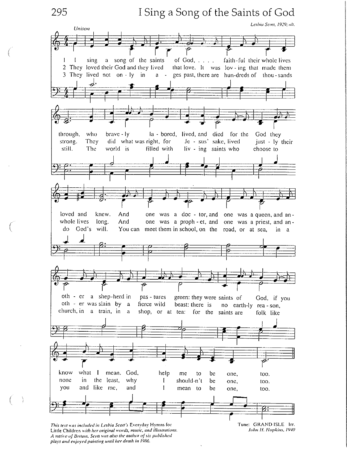295

 $\mathbf{1}$ 

I Sing a Song of the Saints of God

Lesbia Scott, 1929; alt.

Unison a song of the saints of God,  $\ldots$ . sing faith-ful their whole lives 2 They loved their God and they lived that love. It was lov-ing that made them 3 They lived not on - ly in ges past, there are hun-dreds of thou-sands  $a -$ brave - ly la - bored, lived, and died for the through, who God they did what was right, for strong. They Je - sus' sake lived just - ly their still. The world is filled with liv - ing saints who choose to loved and knew. And one was a doc - tor, and one was a queen, and anwhole lives long. one was a proph-et, and one was a priest, and an-And God's will. You can meet them in school, on the road, or at sea, in a do oth - er a shep-herd in pas - tures green: they were saints of God, if you oth - er was slain by a fierce wild beast: there is no earth-ly rea-son. church, in a train, in a shop, or at tea: for the saints are folk like what know  $\mathbf{I}$ mean. God, help me to be one, too. none the least, why in  $\mathbf{I}$ should-n't be one, too. and like me, and you 1 mean to be one, too.

This text was included in Lesbia Scott's Everyday Hymns for Little Children with her original words, music, and illustrations. A native of Britain, Scott was also the author of six published. plays and enjoyed painting until her death in 1986.

Tune: GRAND ISLE Irr. John H. Hopkins, 1940